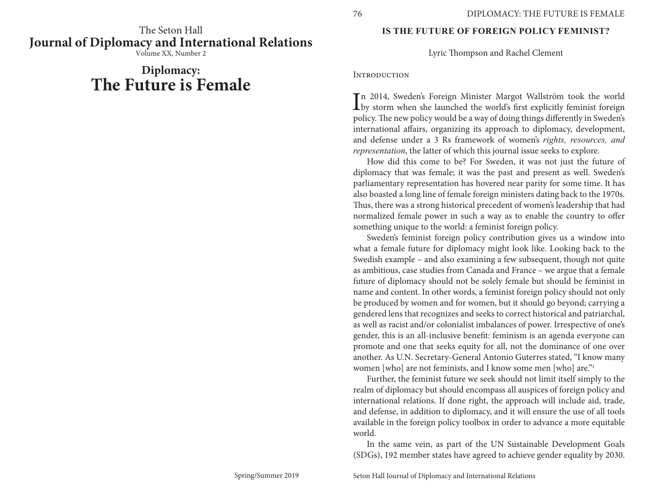The Seton Hall **Journal of Diplomacy and International Relations**

Volume XX, Number 2

# **Diplomacy: The Future is Female**

#### **IS THE FUTURE OF FOREIGN POLICY FEMINIST?**

Lyric Thompson and Rachel Clement

#### **INTRODUCTION**

In 2014, Sweden's Foreign Minister Margot Wallström took the world<br>by storm when she launched the world's first explicitly feminist foreign<br>and in The warmalian population of dained in a different in South of by storm when she launched the world's first explicitly feminist foreign policy. The new policy would be a way of doing things differently in Sweden's international affairs, organizing its approach to diplomacy, development, and defense under a 3 Rs framework of women's *rights, resources, and representation*, the latter of which this journal issue seeks to explore.

How did this come to be? For Sweden, it was not just the future of diplomacy that was female; it was the past and present as well. Sweden's parliamentary representation has hovered near parity for some time. It has also boasted a long line of female foreign ministers dating back to the 1970s. Thus, there was a strong historical precedent of women's leadership that had normalized female power in such a way as to enable the country to offer something unique to the world: a feminist foreign policy.

Sweden's feminist foreign policy contribution gives us a window into what a female future for diplomacy might look like. Looking back to the Swedish example – and also examining a few subsequent, though not quite as ambitious, case studies from Canada and France – we argue that a female future of diplomacy should not be solely female but should be feminist in name and content. In other words, a feminist foreign policy should not only be produced by women and for women, but it should go beyond; carrying a gendered lens that recognizes and seeks to correct historical and patriarchal, as well as racist and/or colonialist imbalances of power. Irrespective of one's gender, this is an all-inclusive benefit: feminism is an agenda everyone can promote and one that seeks equity for all, not the dominance of one over another. As U.N. Secretary-General Antonio Guterres stated, "I know many women [who] are not feminists, and I know some men [who] are."1

Further, the feminist future we seek should not limit itself simply to the realm of diplomacy but should encompass all auspices of foreign policy and international relations. If done right, the approach will include aid, trade, and defense, in addition to diplomacy, and it will ensure the use of all tools available in the foreign policy toolbox in order to advance a more equitable world.

In the same vein, as part of the UN Sustainable Development Goals (SDGs), 192 member states have agreed to achieve gender equality by 2030.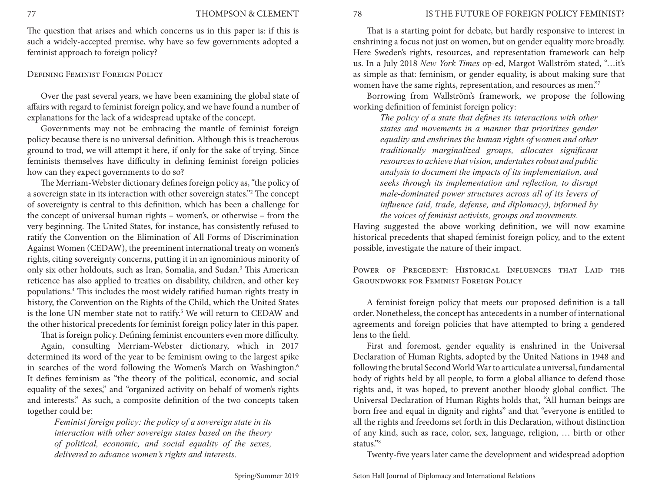The question that arises and which concerns us in this paper is: if this is such a widely-accepted premise, why have so few governments adopted a feminist approach to foreign policy?

#### Defining Feminist Foreign Policy

Over the past several years, we have been examining the global state of affairs with regard to feminist foreign policy, and we have found a number of explanations for the lack of a widespread uptake of the concept.

Governments may not be embracing the mantle of feminist foreign policy because there is no universal definition. Although this is treacherous ground to trod, we will attempt it here, if only for the sake of trying. Since feminists themselves have difficulty in defining feminist foreign policies how can they expect governments to do so?

The Merriam-Webster dictionary defines foreign policy as, "the policy of a sovereign state in its interaction with other sovereign states."2 The concept of sovereignty is central to this definition, which has been a challenge for the concept of universal human rights – women's, or otherwise – from the very beginning. The United States, for instance, has consistently refused to ratify the Convention on the Elimination of All Forms of Discrimination Against Women (CEDAW), the preeminent international treaty on women's rights, citing sovereignty concerns, putting it in an ignominious minority of only six other holdouts, such as Iran, Somalia, and Sudan.<sup>3</sup> This American reticence has also applied to treaties on disability, children, and other key populations.4 This includes the most widely ratified human rights treaty in history, the Convention on the Rights of the Child, which the United States is the lone UN member state not to ratify.<sup>5</sup> We will return to CEDAW and the other historical precedents for feminist foreign policy later in this paper.

That is foreign policy. Defining feminist encounters even more difficulty. Again, consulting Merriam-Webster dictionary, which in 2017 determined its word of the year to be feminism owing to the largest spike in searches of the word following the Women's March on Washington.<sup>6</sup> It defines feminism as "the theory of the political, economic, and social equality of the sexes," and "organized activity on behalf of women's rights and interests." As such, a composite definition of the two concepts taken together could be:

*Feminist foreign policy: the policy of a sovereign state in its interaction with other sovereign states based on the theory of political, economic, and social equality of the sexes, delivered to advance women's rights and interests.*

That is a starting point for debate, but hardly responsive to interest in enshrining a focus not just on women, but on gender equality more broadly. Here Sweden's rights, resources, and representation framework can help us. In a July 2018 *New York Times* op-ed, Margot Wallström stated, "…it's as simple as that: feminism, or gender equality, is about making sure that women have the same rights, representation, and resources as men."7

Borrowing from Wallström's framework, we propose the following working definition of feminist foreign policy:

*The policy of a state that defines its interactions with other states and movements in a manner that prioritizes gender equality and enshrines the human rights of women and other traditionally marginalized groups, allocates significant resources to achieve that vision, undertakes robust and public analysis to document the impacts of its implementation, and seeks through its implementation and reflection, to disrupt male-dominated power structures across all of its levers of influence (aid, trade, defense, and diplomacy), informed by the voices of feminist activists, groups and movements.*

Having suggested the above working definition, we will now examine historical precedents that shaped feminist foreign policy, and to the extent possible, investigate the nature of their impact.

POWER OF PRECEDENT: HISTORICAL INFLUENCES THAT LAID THE Groundwork for Feminist Foreign Policy

A feminist foreign policy that meets our proposed definition is a tall order. Nonetheless, the concept has antecedents in a number of international agreements and foreign policies that have attempted to bring a gendered lens to the field.

First and foremost, gender equality is enshrined in the Universal Declaration of Human Rights, adopted by the United Nations in 1948 and following the brutal Second World War to articulate a universal, fundamental body of rights held by all people, to form a global alliance to defend those rights and, it was hoped, to prevent another bloody global conflict. The Universal Declaration of Human Rights holds that, "All human beings are born free and equal in dignity and rights" and that "everyone is entitled to all the rights and freedoms set forth in this Declaration, without distinction of any kind, such as race, color, sex, language, religion, … birth or other status."8

Twenty-five years later came the development and widespread adoption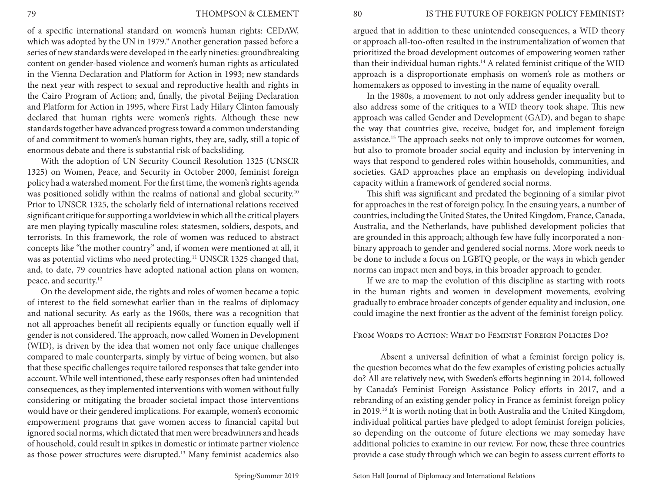of a specific international standard on women's human rights: CEDAW, which was adopted by the UN in 1979.<sup>9</sup> Another generation passed before a series of new standards were developed in the early nineties: groundbreaking content on gender-based violence and women's human rights as articulated in the Vienna Declaration and Platform for Action in 1993; new standards the next year with respect to sexual and reproductive health and rights in the Cairo Program of Action; and, finally, the pivotal Beijing Declaration and Platform for Action in 1995, where First Lady Hilary Clinton famously declared that human rights were women's rights. Although these new standards together have advanced progress toward a common understanding of and commitment to women's human rights, they are, sadly, still a topic of enormous debate and there is substantial risk of backsliding.

With the adoption of UN Security Council Resolution 1325 (UNSCR 1325) on Women, Peace, and Security in October 2000, feminist foreign policy had a watershed moment. For the first time, the women's rights agenda was positioned solidly within the realms of national and global security.<sup>10</sup> Prior to UNSCR 1325, the scholarly field of international relations received significant critique for supporting a worldview in which all the critical players are men playing typically masculine roles: statesmen, soldiers, despots, and terrorists. In this framework, the role of women was reduced to abstract concepts like "the mother country" and, if women were mentioned at all, it was as potential victims who need protecting.<sup>11</sup> UNSCR 1325 changed that, and, to date, 79 countries have adopted national action plans on women, peace, and security.12

On the development side, the rights and roles of women became a topic of interest to the field somewhat earlier than in the realms of diplomacy and national security. As early as the 1960s, there was a recognition that not all approaches benefit all recipients equally or function equally well if gender is not considered. The approach, now called Women in Development (WID), is driven by the idea that women not only face unique challenges compared to male counterparts, simply by virtue of being women, but also that these specific challenges require tailored responses that take gender into account. While well intentioned, these early responses often had unintended consequences, as they implemented interventions with women without fully considering or mitigating the broader societal impact those interventions would have or their gendered implications. For example, women's economic empowerment programs that gave women access to financial capital but ignored social norms, which dictated that men were breadwinners and heads of household, could result in spikes in domestic or intimate partner violence as those power structures were disrupted.13 Many feminist academics also

argued that in addition to these unintended consequences, a WID theory or approach all-too-often resulted in the instrumentalization of women that prioritized the broad development outcomes of empowering women rather than their individual human rights.14 A related feminist critique of the WID approach is a disproportionate emphasis on women's role as mothers or homemakers as opposed to investing in the name of equality overall.

In the 1980s, a movement to not only address gender inequality but to also address some of the critiques to a WID theory took shape. This new approach was called Gender and Development (GAD), and began to shape the way that countries give, receive, budget for, and implement foreign assistance.15 The approach seeks not only to improve outcomes for women, but also to promote broader social equity and inclusion by intervening in ways that respond to gendered roles within households, communities, and societies. GAD approaches place an emphasis on developing individual capacity within a framework of gendered social norms.

This shift was significant and predated the beginning of a similar pivot for approaches in the rest of foreign policy. In the ensuing years, a number of countries, including the United States, the United Kingdom, France, Canada, Australia, and the Netherlands, have published development policies that are grounded in this approach; although few have fully incorporated a nonbinary approach to gender and gendered social norms. More work needs to be done to include a focus on LGBTQ people, or the ways in which gender norms can impact men and boys, in this broader approach to gender.

If we are to map the evolution of this discipline as starting with roots in the human rights and women in development movements, evolving gradually to embrace broader concepts of gender equality and inclusion, one could imagine the next frontier as the advent of the feminist foreign policy.

## From Words to Action: What do Feminist Foreign Policies Do?

Absent a universal definition of what a feminist foreign policy is, the question becomes what do the few examples of existing policies actually do? All are relatively new, with Sweden's efforts beginning in 2014, followed by Canada's Feminist Foreign Assistance Policy efforts in 2017, and a rebranding of an existing gender policy in France as feminist foreign policy in 2019.16 It is worth noting that in both Australia and the United Kingdom, individual political parties have pledged to adopt feminist foreign policies, so depending on the outcome of future elections we may someday have additional policies to examine in our review. For now, these three countries provide a case study through which we can begin to assess current efforts to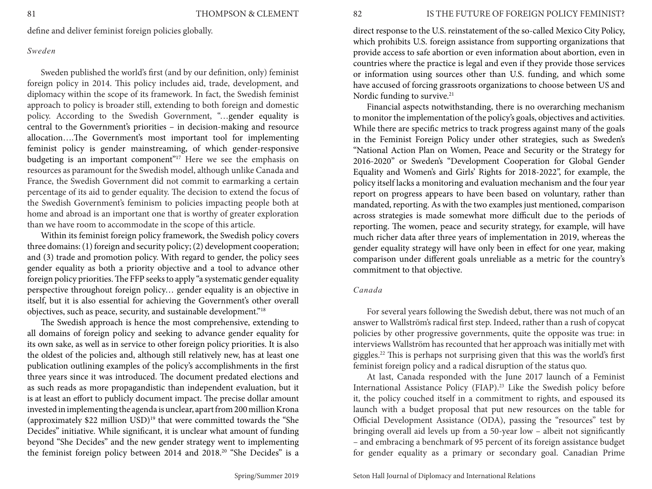define and deliver feminist foreign policies globally.

#### *Sweden*

Sweden published the world's first (and by our definition, only) feminist foreign policy in 2014. This policy includes aid, trade, development, and diplomacy within the scope of its framework. In fact, the Swedish feminist approach to policy is broader still, extending to both foreign and domestic policy. According to the Swedish Government, "…gender equality is central to the Government's priorities – in decision-making and resource allocation….The Government's most important tool for implementing feminist policy is gender mainstreaming, of which gender-responsive budgeting is an important component"<sup>17</sup> Here we see the emphasis on resources as paramount for the Swedish model, although unlike Canada and France, the Swedish Government did not commit to earmarking a certain percentage of its aid to gender equality. The decision to extend the focus of the Swedish Government's feminism to policies impacting people both at home and abroad is an important one that is worthy of greater exploration than we have room to accommodate in the scope of this article.

Within its feminist foreign policy framework, the Swedish policy covers three domains: (1) foreign and security policy; (2) development cooperation; and (3) trade and promotion policy. With regard to gender, the policy sees gender equality as both a priority objective and a tool to advance other foreign policy priorities. The FFP seeks to apply "a systematic gender equality perspective throughout foreign policy… gender equality is an objective in itself, but it is also essential for achieving the Government's other overall objectives, such as peace, security, and sustainable development."18

The Swedish approach is hence the most comprehensive, extending to all domains of foreign policy and seeking to advance gender equality for its own sake, as well as in service to other foreign policy priorities. It is also the oldest of the policies and, although still relatively new, has at least one publication outlining examples of the policy's accomplishments in the first three years since it was introduced. The document predated elections and as such reads as more propagandistic than independent evaluation, but it is at least an effort to publicly document impact. The precise dollar amount invested in implementing the agenda is unclear, apart from 200 million Krona (approximately \$22 million USD)19 that were committed towards the "She Decides" initiative. While significant, it is unclear what amount of funding beyond "She Decides" and the new gender strategy went to implementing the feminist foreign policy between 2014 and 2018.20 "She Decides" is a

direct response to the U.S. reinstatement of the so-called Mexico City Policy, which prohibits U.S. foreign assistance from supporting organizations that provide access to safe abortion or even information about abortion, even in countries where the practice is legal and even if they provide those services or information using sources other than U.S. funding, and which some have accused of forcing grassroots organizations to choose between US and Nordic funding to survive.<sup>21</sup>

Financial aspects notwithstanding, there is no overarching mechanism to monitor the implementation of the policy's goals, objectives and activities. While there are specific metrics to track progress against many of the goals in the Feminist Foreign Policy under other strategies, such as Sweden's "National Action Plan on Women, Peace and Security or the Strategy for 2016-2020" or Sweden's "Development Cooperation for Global Gender Equality and Women's and Girls' Rights for 2018-2022", for example, the policy itself lacks a monitoring and evaluation mechanism and the four year report on progress appears to have been based on voluntary, rather than mandated, reporting. As with the two examples just mentioned, comparison across strategies is made somewhat more difficult due to the periods of reporting. The women, peace and security strategy, for example, will have much richer data after three years of implementation in 2019, whereas the gender equality strategy will have only been in effect for one year, making comparison under different goals unreliable as a metric for the country's commitment to that objective.

#### *Canada*

For several years following the Swedish debut, there was not much of an answer to Wallström's radical first step. Indeed, rather than a rush of copycat policies by other progressive governments, quite the opposite was true: in interviews Wallström has recounted that her approach was initially met with giggles.22 This is perhaps not surprising given that this was the world's first feminist foreign policy and a radical disruption of the status quo.

At last, Canada responded with the June 2017 launch of a Feminist International Assistance Policy (FIAP).23 Like the Swedish policy before it, the policy couched itself in a commitment to rights, and espoused its launch with a budget proposal that put new resources on the table for Official Development Assistance (ODA), passing the "resources" test by bringing overall aid levels up from a 50-year low – albeit not significantly – and embracing a benchmark of 95 percent of its foreign assistance budget for gender equality as a primary or secondary goal. Canadian Prime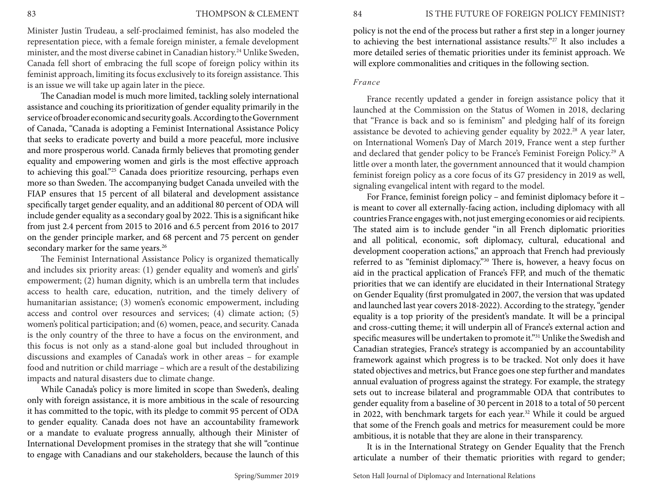#### 83 THOMPSON & CLEMENT

Minister Justin Trudeau, a self-proclaimed feminist, has also modeled the representation piece, with a female foreign minister, a female development minister, and the most diverse cabinet in Canadian history.<sup>24</sup> Unlike Sweden, Canada fell short of embracing the full scope of foreign policy within its feminist approach, limiting its focus exclusively to its foreign assistance. This is an issue we will take up again later in the piece.

The Canadian model is much more limited, tackling solely international assistance and couching its prioritization of gender equality primarily in the service of broader economic and security goals. According to the Government of Canada, "Canada is adopting a Feminist International Assistance Policy that seeks to eradicate poverty and build a more peaceful, more inclusive and more prosperous world. Canada firmly believes that promoting gender equality and empowering women and girls is the most effective approach to achieving this goal."<sup>25</sup> Canada does prioritize resourcing, perhaps even more so than Sweden. The accompanying budget Canada unveiled with the FIAP ensures that 15 percent of all bilateral and development assistance specifically target gender equality, and an additional 80 percent of ODA will include gender equality as a secondary goal by 2022. This is a significant hike from just 2.4 percent from 2015 to 2016 and 6.5 percent from 2016 to 2017 on the gender principle marker, and 68 percent and 75 percent on gender secondary marker for the same years.<sup>26</sup>

The Feminist International Assistance Policy is organized thematically and includes six priority areas: (1) gender equality and women's and girls' empowerment; (2) human dignity, which is an umbrella term that includes access to health care, education, nutrition, and the timely delivery of humanitarian assistance; (3) women's economic empowerment, including access and control over resources and services; (4) climate action; (5) women's political participation; and (6) women, peace, and security. Canada is the only country of the three to have a focus on the environment, and this focus is not only as a stand-alone goal but included throughout in discussions and examples of Canada's work in other areas – for example food and nutrition or child marriage – which are a result of the destabilizing impacts and natural disasters due to climate change.

While Canada's policy is more limited in scope than Sweden's, dealing only with foreign assistance, it is more ambitious in the scale of resourcing it has committed to the topic, with its pledge to commit 95 percent of ODA to gender equality. Canada does not have an accountability framework or a mandate to evaluate progress annually, although their Minister of International Development promises in the strategy that she will "continue to engage with Canadians and our stakeholders, because the launch of this

policy is not the end of the process but rather a first step in a longer journey to achieving the best international assistance results."27 It also includes a more detailed series of thematic priorities under its feminist approach. We will explore commonalities and critiques in the following section.

#### *France*

France recently updated a gender in foreign assistance policy that it launched at the Commission on the Status of Women in 2018, declaring that "France is back and so is feminism" and pledging half of its foreign assistance be devoted to achieving gender equality by 2022.<sup>28</sup> A year later, on International Women's Day of March 2019, France went a step further and declared that gender policy to be France's Feminist Foreign Policy.29 A little over a month later, the government announced that it would champion feminist foreign policy as a core focus of its G7 presidency in 2019 as well, signaling evangelical intent with regard to the model.

For France, feminist foreign policy – and feminist diplomacy before it – is meant to cover all externally-facing action, including diplomacy with all countries France engages with, not just emerging economies or aid recipients. The stated aim is to include gender "in all French diplomatic priorities and all political, economic, soft diplomacy, cultural, educational and development cooperation actions," an approach that French had previously referred to as "feminist diplomacy."30 There is, however, a heavy focus on aid in the practical application of France's FFP, and much of the thematic priorities that we can identify are elucidated in their International Strategy on Gender Equality (first promulgated in 2007, the version that was updated and launched last year covers 2018-2022). According to the strategy, "gender equality is a top priority of the president's mandate. It will be a principal and cross-cutting theme; it will underpin all of France's external action and specific measures will be undertaken to promote it."31 Unlike the Swedish and Canadian strategies, France's strategy is accompanied by an accountability framework against which progress is to be tracked. Not only does it have stated objectives and metrics, but France goes one step further and mandates annual evaluation of progress against the strategy. For example, the strategy sets out to increase bilateral and programmable ODA that contributes to gender equality from a baseline of 30 percent in 2018 to a total of 50 percent in 2022, with benchmark targets for each year.<sup>32</sup> While it could be argued that some of the French goals and metrics for measurement could be more ambitious, it is notable that they are alone in their transparency.

It is in the International Strategy on Gender Equality that the French articulate a number of their thematic priorities with regard to gender;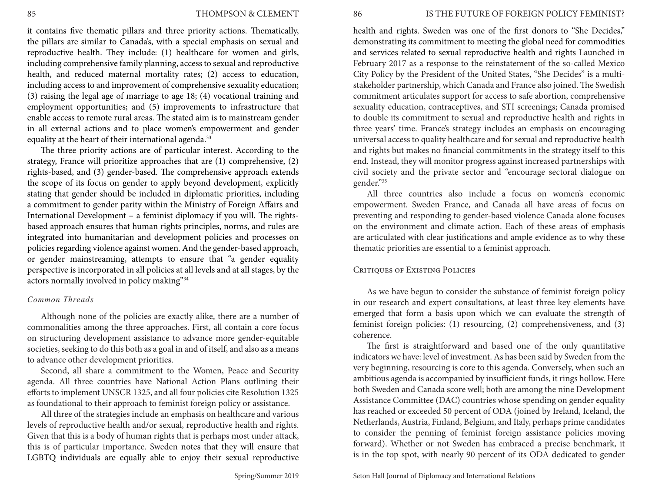it contains five thematic pillars and three priority actions. Thematically, the pillars are similar to Canada's, with a special emphasis on sexual and reproductive health. They include: (1) healthcare for women and girls, including comprehensive family planning, access to sexual and reproductive health, and reduced maternal mortality rates; (2) access to education, including access to and improvement of comprehensive sexuality education; (3) raising the legal age of marriage to age 18; (4) vocational training and employment opportunities; and (5) improvements to infrastructure that enable access to remote rural areas. The stated aim is to mainstream gender in all external actions and to place women's empowerment and gender equality at the heart of their international agenda.<sup>33</sup>

The three priority actions are of particular interest. According to the strategy, France will prioritize approaches that are (1) comprehensive, (2) rights-based, and (3) gender-based. The comprehensive approach extends the scope of its focus on gender to apply beyond development, explicitly stating that gender should be included in diplomatic priorities, including a commitment to gender parity within the Ministry of Foreign Affairs and International Development – a feminist diplomacy if you will. The rightsbased approach ensures that human rights principles, norms, and rules are integrated into humanitarian and development policies and processes on policies regarding violence against women. And the gender-based approach, or gender mainstreaming, attempts to ensure that "a gender equality perspective is incorporated in all policies at all levels and at all stages, by the actors normally involved in policy making"34

## *Common Threads*

Although none of the policies are exactly alike, there are a number of commonalities among the three approaches. First, all contain a core focus on structuring development assistance to advance more gender-equitable societies, seeking to do this both as a goal in and of itself, and also as a means to advance other development priorities.

Second, all share a commitment to the Women, Peace and Security agenda. All three countries have National Action Plans outlining their efforts to implement UNSCR 1325, and all four policies cite Resolution 1325 as foundational to their approach to feminist foreign policy or assistance.

All three of the strategies include an emphasis on healthcare and various levels of reproductive health and/or sexual, reproductive health and rights. Given that this is a body of human rights that is perhaps most under attack, this is of particular importance. Sweden notes that they will ensure that LGBTQ individuals are equally able to enjoy their sexual reproductive

health and rights. Sweden was one of the first donors to "She Decides," demonstrating its commitment to meeting the global need for commodities and services related to sexual reproductive health and rights Launched in February 2017 as a response to the reinstatement of the so-called Mexico City Policy by the President of the United States, "She Decides" is a multistakeholder partnership, which Canada and France also joined. The Swedish commitment articulates support for access to safe abortion, comprehensive sexuality education, contraceptives, and STI screenings; Canada promised to double its commitment to sexual and reproductive health and rights in three years' time. France's strategy includes an emphasis on encouraging universal access to quality healthcare and for sexual and reproductive health and rights but makes no financial commitments in the strategy itself to this end. Instead, they will monitor progress against increased partnerships with civil society and the private sector and "encourage sectoral dialogue on gender."35

All three countries also include a focus on women's economic empowerment. Sweden France, and Canada all have areas of focus on preventing and responding to gender-based violence Canada alone focuses on the environment and climate action. Each of these areas of emphasis are articulated with clear justifications and ample evidence as to why these thematic priorities are essential to a feminist approach.

# CRITIOUES OF EXISTING POLICIES

As we have begun to consider the substance of feminist foreign policy in our research and expert consultations, at least three key elements have emerged that form a basis upon which we can evaluate the strength of feminist foreign policies: (1) resourcing, (2) comprehensiveness, and (3) coherence.

The first is straightforward and based one of the only quantitative indicators we have: level of investment. As has been said by Sweden from the very beginning, resourcing is core to this agenda. Conversely, when such an ambitious agenda is accompanied by insufficient funds, it rings hollow. Here both Sweden and Canada score well; both are among the nine Development Assistance Committee (DAC) countries whose spending on gender equality has reached or exceeded 50 percent of ODA (joined by Ireland, Iceland, the Netherlands, Austria, Finland, Belgium, and Italy, perhaps prime candidates to consider the penning of feminist foreign assistance policies moving forward). Whether or not Sweden has embraced a precise benchmark, it is in the top spot, with nearly 90 percent of its ODA dedicated to gender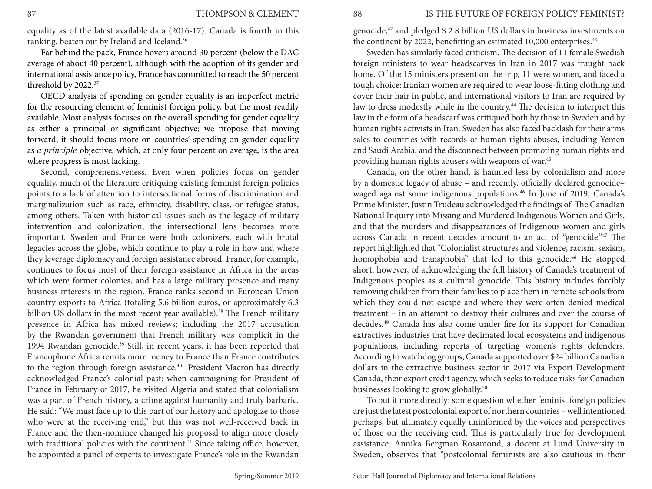equality as of the latest available data (2016-17). Canada is fourth in this ranking, beaten out by Ireland and Iceland.36

Far behind the pack, France hovers around 30 percent (below the DAC average of about 40 percent), although with the adoption of its gender and international assistance policy, France has committed to reach the 50 percent threshold by 2022.37

OECD analysis of spending on gender equality is an imperfect metric for the resourcing element of feminist foreign policy, but the most readily available. Most analysis focuses on the overall spending for gender equality as either a principal or significant objective; we propose that moving forward, it should focus more on countries' spending on gender equality as *a principle* objective, which, at only four percent on average, is the area where progress is most lacking.

Second, comprehensiveness. Even when policies focus on gender equality, much of the literature critiquing existing feminist foreign policies points to a lack of attention to intersectional forms of discrimination and marginalization such as race, ethnicity, disability, class, or refugee status, among others. Taken with historical issues such as the legacy of military intervention and colonization, the intersectional lens becomes more important. Sweden and France were both colonizers, each with brutal legacies across the globe, which continue to play a role in how and where they leverage diplomacy and foreign assistance abroad. France, for example, continues to focus most of their foreign assistance in Africa in the areas which were former colonies, and has a large military presence and many business interests in the region. France ranks second in European Union country exports to Africa (totaling 5.6 billion euros, or approximately 6.3 billion US dollars in the most recent year available).<sup>38</sup> The French military presence in Africa has mixed reviews; including the 2017 accusation by the Rwandan government that French military was complicit in the 1994 Rwandan genocide.<sup>39</sup> Still, in recent years, it has been reported that Francophone Africa remits more money to France than France contributes to the region through foreign assistance.<sup>40</sup> President Macron has directly acknowledged France's colonial past: when campaigning for President of France in February of 2017, he visited Algeria and stated that colonialism was a part of French history, a crime against humanity and truly barbaric. He said: "We must face up to this part of our history and apologize to those who were at the receiving end," but this was not well-received back in France and the then-nominee changed his proposal to align more closely with traditional policies with the continent.<sup>41</sup> Since taking office, however, he appointed a panel of experts to investigate France's role in the Rwandan

genocide,42 and pledged \$ 2.8 billion US dollars in business investments on the continent by 2022, benefitting an estimated 10,000 enterprises.<sup>43</sup>

Sweden has similarly faced criticism. The decision of 11 female Swedish foreign ministers to wear headscarves in Iran in 2017 was fraught back home. Of the 15 ministers present on the trip, 11 were women, and faced a tough choice: Iranian women are required to wear loose-fitting clothing and cover their hair in public, and international visitors to Iran are required by law to dress modestly while in the country.<sup>44</sup> The decision to interpret this law in the form of a headscarf was critiqued both by those in Sweden and by human rights activists in Iran. Sweden has also faced backlash for their arms sales to countries with records of human rights abuses, including Yemen and Saudi Arabia, and the disconnect between promoting human rights and providing human rights abusers with weapons of war.45

Canada, on the other hand, is haunted less by colonialism and more by a domestic legacy of abuse – and recently, officially declared genocide– waged against some indigenous populations. 46 In June of 2019, Canada's Prime Minister, Justin Trudeau acknowledged the findings of The Canadian National Inquiry into Missing and Murdered Indigenous Women and Girls, and that the murders and disappearances of Indigenous women and girls across Canada in recent decades amount to an act of "genocide."<sup>47</sup> The report highlighted that "Colonialist structures and violence, racism, sexism, homophobia and transphobia" that led to this genocide.<sup>48</sup> He stopped short, however, of acknowledging the full history of Canada's treatment of Indigenous peoples as a cultural genocide. This history includes forcibly removing children from their families to place them in remote schools from which they could not escape and where they were often denied medical treatment – in an attempt to destroy their cultures and over the course of decades.49 Canada has also come under fire for its support for Canadian extractives industries that have decimated local ecosystems and indigenous populations, including reports of targeting women's rights defenders. According to watchdog groups, Canada supported over \$24 billion Canadian dollars in the extractive business sector in 2017 via Export Development Canada, their export credit agency, which seeks to reduce risks for Canadian businesses looking to grow globally.50

To put it more directly: some question whether feminist foreign policies are just the latest postcolonial export of northern countries – well intentioned perhaps, but ultimately equally uninformed by the voices and perspectives of those on the receiving end. This is particularly true for development assistance. Annika Bergman Rosamond, a docent at Lund University in Sweden, observes that "postcolonial feminists are also cautious in their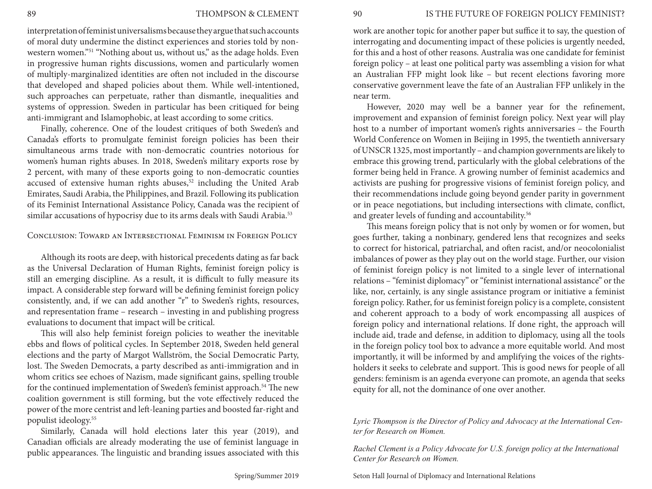interpretation of feminist universalisms because they argue that such accounts of moral duty undermine the distinct experiences and stories told by nonwestern women."<sup>51</sup> "Nothing about us, without us," as the adage holds. Even in progressive human rights discussions, women and particularly women of multiply-marginalized identities are often not included in the discourse that developed and shaped policies about them. While well-intentioned, such approaches can perpetuate, rather than dismantle, inequalities and systems of oppression. Sweden in particular has been critiqued for being anti-immigrant and Islamophobic, at least according to some critics.

Finally, coherence. One of the loudest critiques of both Sweden's and Canada's efforts to promulgate feminist foreign policies has been their simultaneous arms trade with non-democratic countries notorious for women's human rights abuses. In 2018, Sweden's military exports rose by 2 percent, with many of these exports going to non-democratic counties accused of extensive human rights abuses,<sup>52</sup> including the United Arab Emirates, Saudi Arabia, the Philippines, and Brazil. Following its publication of its Feminist International Assistance Policy, Canada was the recipient of similar accusations of hypocrisy due to its arms deals with Saudi Arabia.<sup>53</sup>

# Conclusion: Toward an Intersectional Feminism in Foreign Policy

Although its roots are deep, with historical precedents dating as far back as the Universal Declaration of Human Rights, feminist foreign policy is still an emerging discipline. As a result, it is difficult to fully measure its impact. A considerable step forward will be defining feminist foreign policy consistently, and, if we can add another "r" to Sweden's rights, resources, and representation frame – research – investing in and publishing progress evaluations to document that impact will be critical.

This will also help feminist foreign policies to weather the inevitable ebbs and flows of political cycles. In September 2018, Sweden held general elections and the party of Margot Wallström, the Social Democratic Party, lost. The Sweden Democrats, a party described as anti-immigration and in whom critics see echoes of Nazism, made significant gains, spelling trouble for the continued implementation of Sweden's feminist approach.<sup>54</sup> The new coalition government is still forming, but the vote effectively reduced the power of the more centrist and left-leaning parties and boosted far-right and populist ideology.55

Similarly, Canada will hold elections later this year (2019), and Canadian officials are already moderating the use of feminist language in public appearances. The linguistic and branding issues associated with this work are another topic for another paper but suffice it to say, the question of interrogating and documenting impact of these policies is urgently needed, for this and a host of other reasons. Australia was one candidate for feminist foreign policy – at least one political party was assembling a vision for what an Australian FFP might look like – but recent elections favoring more conservative government leave the fate of an Australian FFP unlikely in the near term.

However, 2020 may well be a banner year for the refinement, improvement and expansion of feminist foreign policy. Next year will play host to a number of important women's rights anniversaries – the Fourth World Conference on Women in Beijing in 1995, the twentieth anniversary of UNSCR 1325, most importantly – and champion governments are likely to embrace this growing trend, particularly with the global celebrations of the former being held in France. A growing number of feminist academics and activists are pushing for progressive visions of feminist foreign policy, and their recommendations include going beyond gender parity in government or in peace negotiations, but including intersections with climate, conflict, and greater levels of funding and accountability.<sup>56</sup>

This means foreign policy that is not only by women or for women, but goes further, taking a nonbinary, gendered lens that recognizes and seeks to correct for historical, patriarchal, and often racist, and/or neocolonialist imbalances of power as they play out on the world stage. Further, our vision of feminist foreign policy is not limited to a single lever of international relations – "feminist diplomacy" or "feminist international assistance" or the like, nor, certainly, is any single assistance program or initiative a feminist foreign policy. Rather, for us feminist foreign policy is a complete, consistent and coherent approach to a body of work encompassing all auspices of foreign policy and international relations. If done right, the approach will include aid, trade and defense, in addition to diplomacy, using all the tools in the foreign policy tool box to advance a more equitable world. And most importantly, it will be informed by and amplifying the voices of the rightsholders it seeks to celebrate and support. This is good news for people of all genders: feminism is an agenda everyone can promote, an agenda that seeks equity for all, not the dominance of one over another.

## *Lyric Thompson is the Director of Policy and Advocacy at the International Center for Research on Women.*

*Rachel Clement is a Policy Advocate for U.S. foreign policy at the International Center for Research on Women.*

Seton Hall Journal of Diplomacy and International Relations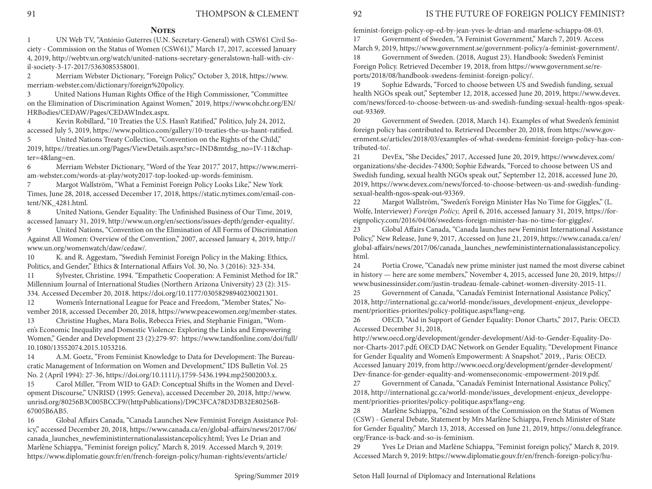## **NOTES**

. ciety - Commission on the Status of Women (CSW61)," March 17, 2017, accessed January 1 UN Web TV, "António Guterres (U.N. Secretary-General) with CSW61 Civil So-4, 2019, http://webtv.un.org/watch/united-nations-secretary-generalstown-hall-with-civil-society-3-17-2017/5363085358001.

2 Merriam Webster Dictionary, "Foreign Policy," October 3, 2018, https://www. merriam-webster.com/dictionary/foreign%20policy.

3 United Nations Human Rights Office of the High Commissioner, "Committee on the Elimination of Discrimination Against Women," 2019, https://www.ohchr.org/EN/ HRBodies/CEDAW/Pages/CEDAWIndex.aspx.

4 Kevin Robillard, "10 Treaties the U.S. Hasn't Ratified," Politico, July 24, 2012, accessed July 5, 2019, https://www.politico.com/gallery/10-treaties-the-us-hasnt-ratified.

5 United Nations Treaty Collection, "Convention on the Rights of the Child," 2019, https://treaties.un.org/Pages/ViewDetails.aspx?src=IND&mtdsg\_no=IV-11&chapter=4&lang=en.

6 Merriam Webster Dictionary, "Word of the Year 2017." 2017, https://www.merriam-webster.com/words-at-play/woty2017-top-looked-up-words-feminism.

7 Margot Wallström, "What a Feminist Foreign Policy Looks Like," New York Times, June 28, 2018, accessed December 17, 2018, https://static.nytimes.com/email-content/NK\_4281.html.

8 United Nations, Gender Equality: The Unfinished Business of Our Time, 2019, accessed January 31, 2019, http://www.un.org/en/sections/issues-depth/gender-equality/.

9 United Nations, "Convention on the Elimination of All Forms of Discrimination Against All Women: Overview of the Convention," 2007, accessed January 4, 2019, http:// www.un.org/womenwatch/daw/cedaw/.

10 K. and R. Aggestam, "Swedish Feminist Foreign Policy in the Making: Ethics, Politics, and Gender," Ethics & International Affairs Vol. 30, No. 3 (2016): 323-334.

11 Sylvester, Christine. 1994. "Empathetic Cooperation: A Feminist Method for IR." Millennium Journal of International Studies (Northern Arizona University) 23 (2): 315- 334. Accessed December 20, 2018. https://doi.org/10.1177/03058298940230021301.

12 Women's International League for Peace and Freedom, "Member States," November 2018, accessed December 20, 2018, https://www.peacewomen.org/member-states.

13 Christine Hughes, Mara Bolis, Rebecca Fries, and Stephanie Finigan, "Women's Economic Inequality and Domestic Violence: Exploring the Links and Empowering Women," Gender and Development 23 (2):279-97: https://www.tandfonline.com/doi/full/ 10.1080/13552074.2015.1053216.

14 A.M. Goetz, "From Feminist Knowledge to Data for Development: The Bureaucratic Management of Information on Women and Development," IDS Bulletin Vol. 25 No. 2 (April 1994): 27-36, https://doi.org/10.1111/j.1759-5436.1994.mp25002003.x.

15 Carol Miller, "From WID to GAD: Conceptual Shifts in the Women and Development Discourse," UNRISD (1995: Geneva), accessed December 20, 2018, http://www. unrisd.org/80256B3C005BCCF9/(httpPublications)/D9C3FCA78D3DB32E80256B-67005B6AB5.

16 Global Affairs Canada, "Canada Launches New Feminist Foreign Assistance Policy," accessed December 20, 2018, https://www.canada.ca/en/global-affairs/news/2017/06/ canada\_launches\_newfeministinternationalassistancepolicy.html; Yves Le Drian and Marlène Schiappa, "Feminist foreign policy," March 8, 2019. Accessed March 9, 2019: https://www.diplomatie.gouv.fr/en/french-foreign-policy/human-rights/events/article/

feminist-foreign-policy-op-ed-by-jean-yves-le-drian-and-marlene-schiappa-08-03. 17 Government of Sweden, "A Feminist Government," March 7, 2019. Access

March 9, 2019, https://www.government.se/government-policy/a-feminist-government/.

18 Government of Sweden. (2018, August 23). Handbook: Sweden's Feminist Foreign Policy. Retrieved December 19, 2018, from https://www.government.se/reports/2018/08/handbook-swedens-feminist-foreign-policy/.

19 Sophie Edwards, "Forced to choose between US and Swedish funding, sexual health NGOs speak out," September 12, 2018, accessed June 20, 2019, https://www.devex. com/news/forced-to-choose-between-us-and-swedish-funding-sexual-health-ngos-speakout-93369.

20 Government of Sweden. (2018, March 14). Examples of what Sweden's feminist foreign policy has contributed to. Retrieved December 20, 2018, from https://www.government.se/articles/2018/03/examples-of-what-swedens-feminist-foreign-policy-has-contributed-to/.

21 DevEx, "She Decides," 2017, Accessed June 20, 2019, https://www.devex.com/ organizations/she-decides-74300; Sophie Edwards, "Forced to choose between US and Swedish funding, sexual health NGOs speak out," September 12, 2018, accessed June 20, 2019, https://www.devex.com/news/forced-to-choose-between-us-and-swedish-fundingsexual-health-ngos-speak-out-93369.

22 Margot Wallström, "Sweden's Foreign Minister Has No Time for Giggles," (L. Wolfe, Interviewer) *Foreign Policy,* April 6, 2016, accessed January 31, 2019, https://foreignpolicy.com/2016/04/06/swedens-foreign-minister-has-no-time-for-giggles/.

23 Global Affairs Canada, "Canada launches new Feminist International Assistance Policy," New Release, June 9, 2017, Accessed on June 21, 2019, https://www.canada.ca/en/ global-affairs/news/2017/06/canada\_launches\_newfeministinternationalassistancepolicy. html.

24 Portia Crowe, "Canada's new prime minister just named the most diverse cabinet in history — here are some members," November 4, 2015, accessed June 20, 2019, https:// www.businessinsider.com/justin-trudeau-female-cabinet-women-diversity-2015-11.

25 Government of Canada, "Canada's Feminist International Assistance Policy," 2018, http://international.gc.ca/world-monde/issues\_development-enjeux\_developpement/priorities-priorites/policy-politique.aspx?lang=eng.

26 OECD, "Aid in Support of Gender Equality: Donor Charts," 2017, Paris: OECD. Accessed December 31, 2018,

http://www.oecd.org/development/gender-development/Aid-to-Gender-Equality-Donor-Charts-2017.pdf; OECD DAC Network on Gender Equality, "Development Finance for Gender Equality and Women's Empowerment: A Snapshot." 2019, , Paris: OECD. Accessed January 2019, from http://www.oecd.org/development/gender-development/ Dev-finance-for-gender-equality-and-womenseconomic-empowerment-2019.pdf.

27 Government of Canada, "Canada's Feminist International Assistance Policy," 2018, http://international.gc.ca/world-monde/issues\_development-enjeux\_developpement/priorities-priorites/policy-politique.aspx?lang=eng.

28 Marlène Schiappa, "62nd session of the Commission on the Status of Women (CSW) - General Debate, Statement by Mrs Marlène Schiappa, French Minister of State for Gender Equality," March 13, 2018, Accessed on June 21, 2019, https://onu.delegfrance. org/France-is-back-and-so-is-feminism.

29 Yves Le Drian and Marlène Schiappa, "Feminist foreign policy," March 8, 2019. Accessed March 9, 2019: https://www.diplomatie.gouv.fr/en/french-foreign-policy/hu-